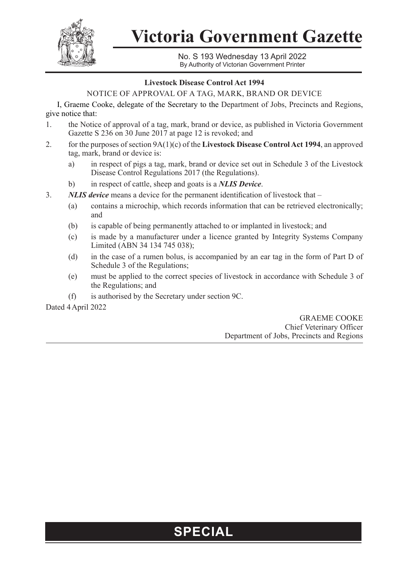

**Victoria Government Gazette**

No. S 193 Wednesday 13 April 2022 By Authority of Victorian Government Printer

## **Livestock Disease Control Act 1994**

NOTICE OF APPROVAL OF A TAG, MARK, BRAND OR DEVICE

I, Graeme Cooke, delegate of the Secretary to the Department of Jobs, Precincts and Regions, give notice that:

- 1. the Notice of approval of a tag, mark, brand or device, as published in Victoria Government Gazette S 236 on 30 June 2017 at page 12 is revoked; and
- 2. for the purposes of section 9A(1)(c) of the **Livestock Disease Control Act 1994**, an approved tag, mark, brand or device is:
	- a) in respect of pigs a tag, mark, brand or device set out in Schedule 3 of the Livestock Disease Control Regulations 2017 (the Regulations).
	- b) in respect of cattle, sheep and goats is a *NLIS Device*.
- 3. *NLIS device* means a device for the permanent identification of livestock that
	- (a) contains a microchip, which records information that can be retrieved electronically; and
	- (b) is capable of being permanently attached to or implanted in livestock; and
	- (c) is made by a manufacturer under a licence granted by Integrity Systems Company Limited (ABN 34 134 745 038);
	- (d) in the case of a rumen bolus, is accompanied by an ear tag in the form of Part D of Schedule 3 of the Regulations;
	- (e) must be applied to the correct species of livestock in accordance with Schedule 3 of the Regulations; and
	- (f) is authorised by the Secretary under section 9C.

Dated 4April 2022

GRAEME COOKE Chief Veterinary Officer Department of Jobs, Precincts and Regions

## **SPECIAL**